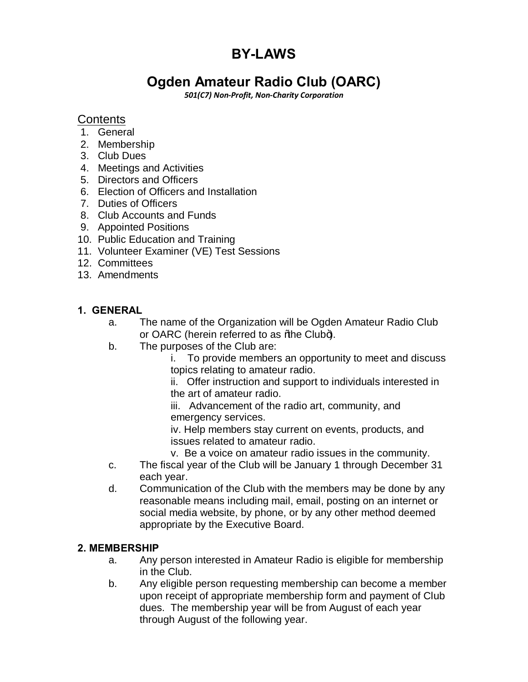# **BY-LAWS**

## **Ogden Amateur Radio Club (OARC)**

*501(C7) Non-Profit, Non-Charity Corporation*

## **Contents**

- 1. General
- 2. Membership
- 3. Club Dues
- 4. Meetings and Activities
- 5. Directors and Officers
- 6. Election of Officers and Installation
- 7. Duties of Officers
- 8. Club Accounts and Funds
- 9. Appointed Positions
- 10. Public Education and Training
- 11. Volunteer Examiner (VE) Test Sessions
- 12. Committees
- 13. Amendments

#### **1. GENERAL**

- a. The name of the Organization will be Ogden Amateur Radio Club or OARC (herein referred to as % be Club+).
- b. The purposes of the Club are:

i. To provide members an opportunity to meet and discuss topics relating to amateur radio.

ii. Offer instruction and support to individuals interested in the art of amateur radio.

iii. Advancement of the radio art, community, and emergency services.

iv. Help members stay current on events, products, and issues related to amateur radio.

v. Be a voice on amateur radio issues in the community.

- c. The fiscal year of the Club will be January 1 through December 31 each year.
- d. Communication of the Club with the members may be done by any reasonable means including mail, email, posting on an internet or social media website, by phone, or by any other method deemed appropriate by the Executive Board.

#### **2. MEMBERSHIP**

- a. Any person interested in Amateur Radio is eligible for membership in the Club.
- b. Any eligible person requesting membership can become a member upon receipt of appropriate membership form and payment of Club dues. The membership year will be from August of each year through August of the following year.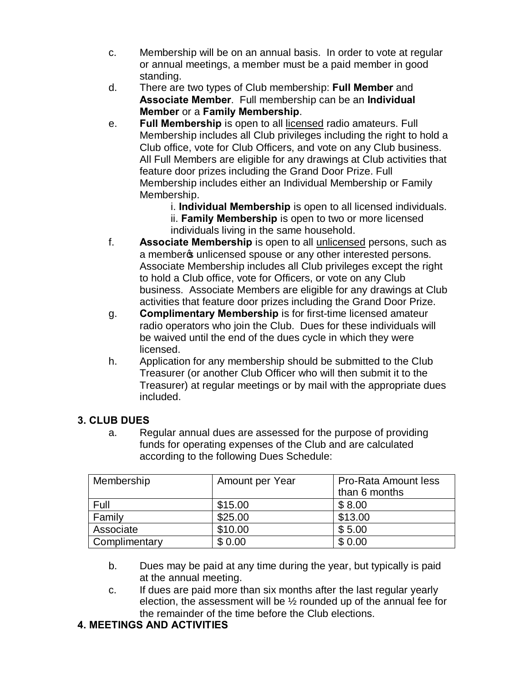- c. Membership will be on an annual basis. In order to vote at regular or annual meetings, a member must be a paid member in good standing.
- d. There are two types of Club membership: **Full Member** and **Associate Member**. Full membership can be an **Individual Member** or a **Family Membership**.
- e. **Full Membership** is open to all licensed radio amateurs. Full Membership includes all Club privileges including the right to hold a Club office, vote for Club Officers, and vote on any Club business. All Full Members are eligible for any drawings at Club activities that feature door prizes including the Grand Door Prize. Full Membership includes either an Individual Membership or Family Membership.
	- i. **Individual Membership** is open to all licensed individuals.
	- ii. **Family Membership** is open to two or more licensed individuals living in the same household.
- f. **Associate Membership** is open to all unlicensed persons, such as a member of unlicensed spouse or any other interested persons. Associate Membership includes all Club privileges except the right to hold a Club office, vote for Officers, or vote on any Club business. Associate Members are eligible for any drawings at Club activities that feature door prizes including the Grand Door Prize.
- g. **Complimentary Membership** is for first-time licensed amateur radio operators who join the Club. Dues for these individuals will be waived until the end of the dues cycle in which they were licensed.
- h. Application for any membership should be submitted to the Club Treasurer (or another Club Officer who will then submit it to the Treasurer) at regular meetings or by mail with the appropriate dues included.

## **3. CLUB DUES**

a. Regular annual dues are assessed for the purpose of providing funds for operating expenses of the Club and are calculated according to the following Dues Schedule:

| Membership    | Amount per Year | <b>Pro-Rata Amount less</b> |
|---------------|-----------------|-----------------------------|
|               |                 | than 6 months               |
| Full          | \$15.00         | \$8.00                      |
| Family        | \$25.00         | \$13.00                     |
| Associate     | \$10.00         | \$5.00                      |
| Complimentary | \$0.00          | \$0.00                      |

- b. Dues may be paid at any time during the year, but typically is paid at the annual meeting.
- c. If dues are paid more than six months after the last regular yearly election, the assessment will be ½ rounded up of the annual fee for the remainder of the time before the Club elections.

## **4. MEETINGS AND ACTIVITIES**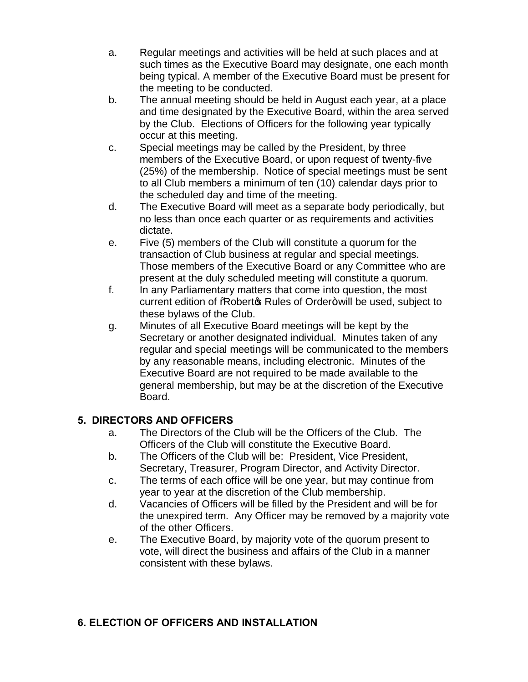- a. Regular meetings and activities will be held at such places and at such times as the Executive Board may designate, one each month being typical. A member of the Executive Board must be present for the meeting to be conducted.
- b. The annual meeting should be held in August each year, at a place and time designated by the Executive Board, within the area served by the Club. Elections of Officers for the following year typically occur at this meeting.
- c. Special meetings may be called by the President, by three members of the Executive Board, or upon request of twenty-five (25%) of the membership. Notice of special meetings must be sent to all Club members a minimum of ten (10) calendar days prior to the scheduled day and time of the meeting.
- d. The Executive Board will meet as a separate body periodically, but no less than once each quarter or as requirements and activities dictate.
- e. Five (5) members of the Club will constitute a quorum for the transaction of Club business at regular and special meetings. Those members of the Executive Board or any Committee who are present at the duly scheduled meeting will constitute a quorum.
- f. In any Parliamentary matters that come into question, the most current edition of %Robert & Rules of Order+ will be used, subject to these bylaws of the Club.
- g. Minutes of all Executive Board meetings will be kept by the Secretary or another designated individual. Minutes taken of any regular and special meetings will be communicated to the members by any reasonable means, including electronic. Minutes of the Executive Board are not required to be made available to the general membership, but may be at the discretion of the Executive Board.

## **5. DIRECTORS AND OFFICERS**

- a. The Directors of the Club will be the Officers of the Club. The Officers of the Club will constitute the Executive Board.
- b. The Officers of the Club will be: President, Vice President, Secretary, Treasurer, Program Director, and Activity Director.
- c. The terms of each office will be one year, but may continue from year to year at the discretion of the Club membership.
- d. Vacancies of Officers will be filled by the President and will be for the unexpired term. Any Officer may be removed by a majority vote of the other Officers.
- e. The Executive Board, by majority vote of the quorum present to vote, will direct the business and affairs of the Club in a manner consistent with these bylaws.

#### **6. ELECTION OF OFFICERS AND INSTALLATION**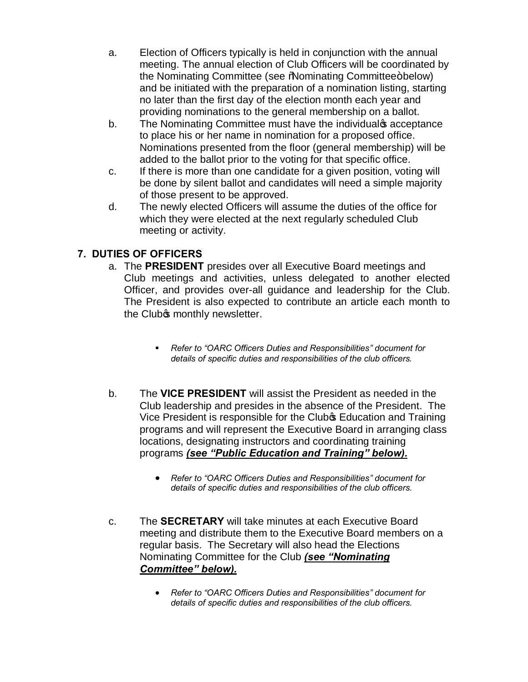- a. Election of Officers typically is held in conjunction with the annual meeting. The annual election of Club Officers will be coordinated by the Nominating Committee (see %Nominating Committee+below) and be initiated with the preparation of a nomination listing, starting no later than the first day of the election month each year and providing nominations to the general membership on a ballot.
- b. The Nominating Committee must have the individual spaceptance to place his or her name in nomination for a proposed office. Nominations presented from the floor (general membership) will be added to the ballot prior to the voting for that specific office.
- c. If there is more than one candidate for a given position, voting will be done by silent ballot and candidates will need a simple majority of those present to be approved.
- d. The newly elected Officers will assume the duties of the office for which they were elected at the next regularly scheduled Club meeting or activity.

## **7. DUTIES OF OFFICERS**

- a. The **PRESIDENT** presides over all Executive Board meetings and Club meetings and activities, unless delegated to another elected Officer, and provides over-all guidance and leadership for the Club. The President is also expected to contribute an article each month to the Club<sup>o</sup>s monthly newsletter.
	- ß *Refer to "OARC Officers Duties and Responsibilities" document for details of specific duties and responsibilities of the club officers.*
- b. The **VICE PRESIDENT** will assist the President as needed in the Club leadership and presides in the absence of the President. The Vice President is responsible for the Clubo Education and Training programs and will represent the Executive Board in arranging class locations, designating instructors and coordinating training programs *(see "Public Education and Training" below).*
	- · *Refer to "OARC Officers Duties and Responsibilities" document for details of specific duties and responsibilities of the club officers.*
- c. The **SECRETARY** will take minutes at each Executive Board meeting and distribute them to the Executive Board members on a regular basis. The Secretary will also head the Elections Nominating Committee for the Club *(see "Nominating Committee" below).*
	- · *Refer to "OARC Officers Duties and Responsibilities" document for details of specific duties and responsibilities of the club officers.*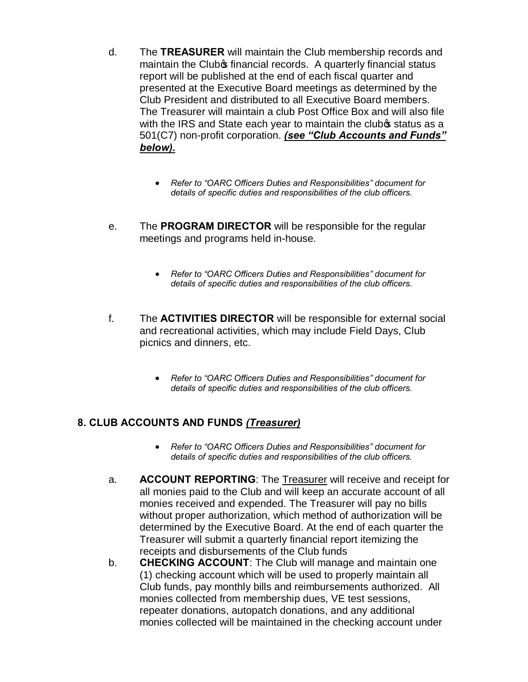- d. The **TREASURER** will maintain the Club membership records and maintain the Club<sup>o</sup>s financial records. A quarterly financial status report will be published at the end of each fiscal quarter and presented at the Executive Board meetings as determined by the Club President and distributed to all Executive Board members. The Treasurer will maintain a club Post Office Box and will also file with the IRS and State each year to maintain the clubos status as a 501(C7) non-profit corporation. *(see "Club Accounts and Funds" below).*
	- · *Refer to "OARC Officers Duties and Responsibilities" document for details of specific duties and responsibilities of the club officers.*
- e. The **PROGRAM DIRECTOR** will be responsible for the regular meetings and programs held in-house.
	- · *Refer to "OARC Officers Duties and Responsibilities" document for details of specific duties and responsibilities of the club officers.*
- f. The **ACTIVITIES DIRECTOR** will be responsible for external social and recreational activities, which may include Field Days, Club picnics and dinners, etc.
	- · *Refer to "OARC Officers Duties and Responsibilities" document for details of specific duties and responsibilities of the club officers.*

#### **8. CLUB ACCOUNTS AND FUNDS** *(Treasurer)*

- · *Refer to "OARC Officers Duties and Responsibilities" document for details of specific duties and responsibilities of the club officers.*
- a. **ACCOUNT REPORTING**: The Treasurer will receive and receipt for all monies paid to the Club and will keep an accurate account of all monies received and expended. The Treasurer will pay no bills without proper authorization, which method of authorization will be determined by the Executive Board. At the end of each quarter the Treasurer will submit a quarterly financial report itemizing the receipts and disbursements of the Club funds
- b. **CHECKING ACCOUNT**: The Club will manage and maintain one (1) checking account which will be used to properly maintain all Club funds, pay monthly bills and reimbursements authorized. All monies collected from membership dues, VE test sessions, repeater donations, autopatch donations, and any additional monies collected will be maintained in the checking account under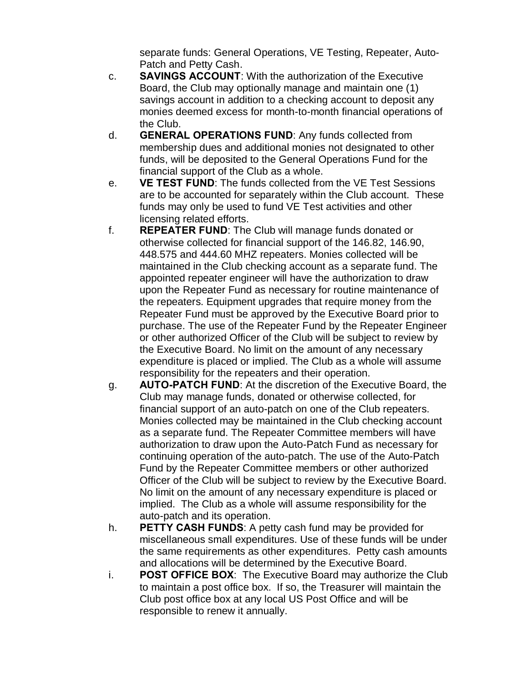separate funds: General Operations, VE Testing, Repeater, Auto-Patch and Petty Cash.

- c. **SAVINGS ACCOUNT**: With the authorization of the Executive Board, the Club may optionally manage and maintain one (1) savings account in addition to a checking account to deposit any monies deemed excess for month-to-month financial operations of the Club.
- d. **GENERAL OPERATIONS FUND**: Any funds collected from membership dues and additional monies not designated to other funds, will be deposited to the General Operations Fund for the financial support of the Club as a whole.
- e. **VE TEST FUND**: The funds collected from the VE Test Sessions are to be accounted for separately within the Club account. These funds may only be used to fund VE Test activities and other licensing related efforts.
- f. **REPEATER FUND**: The Club will manage funds donated or otherwise collected for financial support of the 146.82, 146.90, 448.575 and 444.60 MHZ repeaters. Monies collected will be maintained in the Club checking account as a separate fund. The appointed repeater engineer will have the authorization to draw upon the Repeater Fund as necessary for routine maintenance of the repeaters. Equipment upgrades that require money from the Repeater Fund must be approved by the Executive Board prior to purchase. The use of the Repeater Fund by the Repeater Engineer or other authorized Officer of the Club will be subject to review by the Executive Board. No limit on the amount of any necessary expenditure is placed or implied. The Club as a whole will assume responsibility for the repeaters and their operation.
- g. **AUTO-PATCH FUND**: At the discretion of the Executive Board, the Club may manage funds, donated or otherwise collected, for financial support of an auto-patch on one of the Club repeaters. Monies collected may be maintained in the Club checking account as a separate fund. The Repeater Committee members will have authorization to draw upon the Auto-Patch Fund as necessary for continuing operation of the auto-patch. The use of the Auto-Patch Fund by the Repeater Committee members or other authorized Officer of the Club will be subject to review by the Executive Board. No limit on the amount of any necessary expenditure is placed or implied. The Club as a whole will assume responsibility for the auto-patch and its operation.
- h. **PETTY CASH FUNDS**: A petty cash fund may be provided for miscellaneous small expenditures. Use of these funds will be under the same requirements as other expenditures. Petty cash amounts and allocations will be determined by the Executive Board.
- i. **POST OFFICE BOX**: The Executive Board may authorize the Club to maintain a post office box. If so, the Treasurer will maintain the Club post office box at any local US Post Office and will be responsible to renew it annually.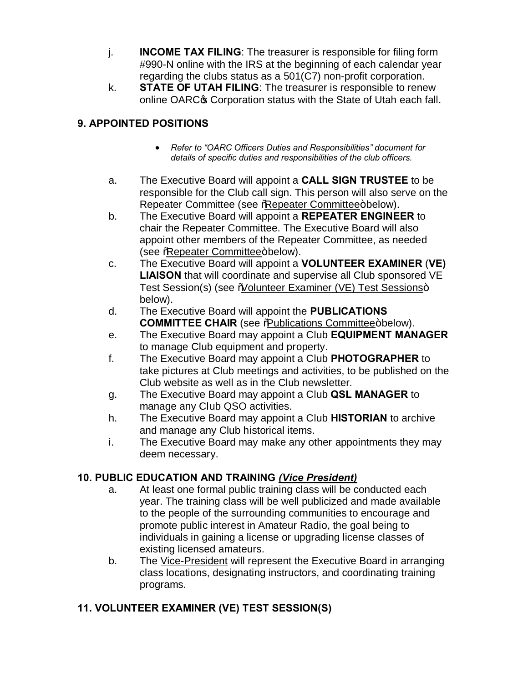- j. **INCOME TAX FILING**: The treasurer is responsible for filing form #990-N online with the IRS at the beginning of each calendar year regarding the clubs status as a 501(C7) non-profit corporation.
- k. **STATE OF UTAH FILING**: The treasurer is responsible to renew online OARC<sup>®</sup> Corporation status with the State of Utah each fall.

## **9. APPOINTED POSITIONS**

- · *Refer to "OARC Officers Duties and Responsibilities" document for details of specific duties and responsibilities of the club officers.*
- a. The Executive Board will appoint a **CALL SIGN TRUSTEE** to be responsible for the Club call sign. This person will also serve on the Repeater Committee (see %Repeater Committee+below).
- b. The Executive Board will appoint a **REPEATER ENGINEER** to chair the Repeater Committee. The Executive Board will also appoint other members of the Repeater Committee, as needed (see %Repeater Committee+below).
- c. The Executive Board will appoint a **VOLUNTEER EXAMINER** (**VE) LIAISON** that will coordinate and supervise all Club sponsored VE Test Session(s) (see % blunteer Examiner (VE) Test Sessions+ below).
- d. The Executive Board will appoint the **PUBLICATIONS COMMITTEE CHAIR** (see % bublications Committee+ below).
- e. The Executive Board may appoint a Club **EQUIPMENT MANAGER** to manage Club equipment and property.
- f. The Executive Board may appoint a Club **PHOTOGRAPHER** to take pictures at Club meetings and activities, to be published on the Club website as well as in the Club newsletter.
- g. The Executive Board may appoint a Club **QSL MANAGER** to manage any Club QSO activities.
- h. The Executive Board may appoint a Club **HISTORIAN** to archive and manage any Club historical items.
- i. The Executive Board may make any other appointments they may deem necessary.

## **10. PUBLIC EDUCATION AND TRAINING** *(Vice President)*

- a. At least one formal public training class will be conducted each year. The training class will be well publicized and made available to the people of the surrounding communities to encourage and promote public interest in Amateur Radio, the goal being to individuals in gaining a license or upgrading license classes of existing licensed amateurs.
- b. The Vice-President will represent the Executive Board in arranging class locations, designating instructors, and coordinating training programs.

## **11. VOLUNTEER EXAMINER (VE) TEST SESSION(S)**